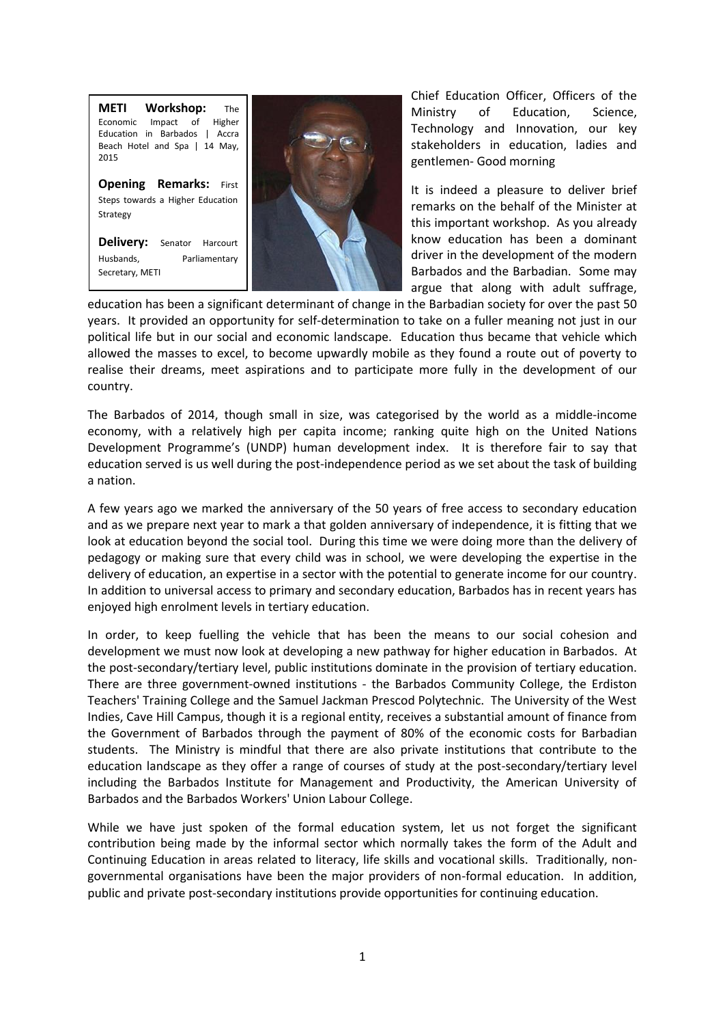



Chief Education Officer, Officers of the Ministry of Education, Science, Technology and Innovation, our key stakeholders in education, ladies and gentlemen- Good morning

It is indeed a pleasure to deliver brief remarks on the behalf of the Minister at this important workshop. As you already know education has been a dominant driver in the development of the modern Barbados and the Barbadian. Some may argue that along with adult suffrage,

education has been a significant determinant of change in the Barbadian society for over the past 50 years. It provided an opportunity for self-determination to take on a fuller meaning not just in our political life but in our social and economic landscape. Education thus became that vehicle which allowed the masses to excel, to become upwardly mobile as they found a route out of poverty to realise their dreams, meet aspirations and to participate more fully in the development of our country.

The Barbados of 2014, though small in size, was categorised by the world as a middle-income economy, with a relatively high per capita income; ranking quite high on the United Nations Development Programme's (UNDP) human development index. It is therefore fair to say that education served is us well during the post-independence period as we set about the task of building a nation.

A few years ago we marked the anniversary of the 50 years of free access to secondary education and as we prepare next year to mark a that golden anniversary of independence, it is fitting that we look at education beyond the social tool. During this time we were doing more than the delivery of pedagogy or making sure that every child was in school, we were developing the expertise in the delivery of education, an expertise in a sector with the potential to generate income for our country. In addition to universal access to primary and secondary education, Barbados has in recent years has enjoyed high enrolment levels in tertiary education.

In order, to keep fuelling the vehicle that has been the means to our social cohesion and development we must now look at developing a new pathway for higher education in Barbados. At the post-secondary/tertiary level, public institutions dominate in the provision of tertiary education. There are three government-owned institutions - the Barbados Community College, the Erdiston Teachers' Training College and the Samuel Jackman Prescod Polytechnic. The University of the West Indies, Cave Hill Campus, though it is a regional entity, receives a substantial amount of finance from the Government of Barbados through the payment of 80% of the economic costs for Barbadian students. The Ministry is mindful that there are also private institutions that contribute to the education landscape as they offer a range of courses of study at the post-secondary/tertiary level including the Barbados Institute for Management and Productivity, the American University of Barbados and the Barbados Workers' Union Labour College.

While we have just spoken of the formal education system, let us not forget the significant contribution being made by the informal sector which normally takes the form of the Adult and Continuing Education in areas related to literacy, life skills and vocational skills. Traditionally, nongovernmental organisations have been the major providers of non-formal education. In addition, public and private post-secondary institutions provide opportunities for continuing education.